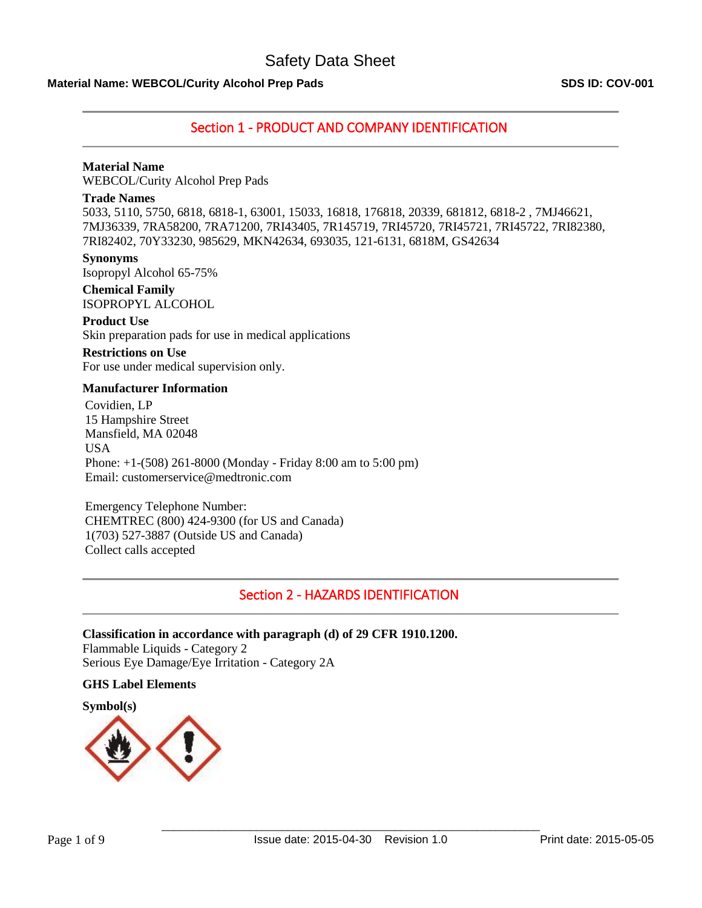# **Material Name: WEBCOL/Curity Alcohol Prep Pads SDS ID: COV-001**

# Section 1 - PRODUCT AND COMPANY IDENTIFICATION

## **Material Name**

WEBCOL/Curity Alcohol Prep Pads

## **Trade Names**

5033, 5110, 5750, 6818, 6818-1, 63001, 15033, 16818, 176818, 20339, 681812, 6818-2 , 7MJ46621, 7MJ36339, 7RA58200, 7RA71200, 7RI43405, 7R145719, 7RI45720, 7RI45721, 7RI45722, 7RI82380, 7RI82402, 70Y33230, 985629, MKN42634, 693035, 121-6131, 6818M, GS42634

**Synonyms** Isopropyl Alcohol 65-75%

**Chemical Family** ISOPROPYL ALCOHOL

## **Product Use**

Skin preparation pads for use in medical applications

# **Restrictions on Use**

For use under medical supervision only.

## **Manufacturer Information**

Covidien, LP 15 Hampshire Street Mansfield, MA 02048 USA Phone: +1-(508) 261-8000 (Monday - Friday 8:00 am to 5:00 pm) Email: customerservice@medtronic.com

Emergency Telephone Number: CHEMTREC (800) 424-9300 (for US and Canada) 1(703) 527-3887 (Outside US and Canada) Collect calls accepted

# Section 2 - HAZARDS IDENTIFICATION

## **Classification in accordance with paragraph (d) of 29 CFR 1910.1200.**

Flammable Liquids - Category 2 Serious Eye Damage/Eye Irritation - Category 2A

### **GHS Label Elements**

**Symbol(s)**

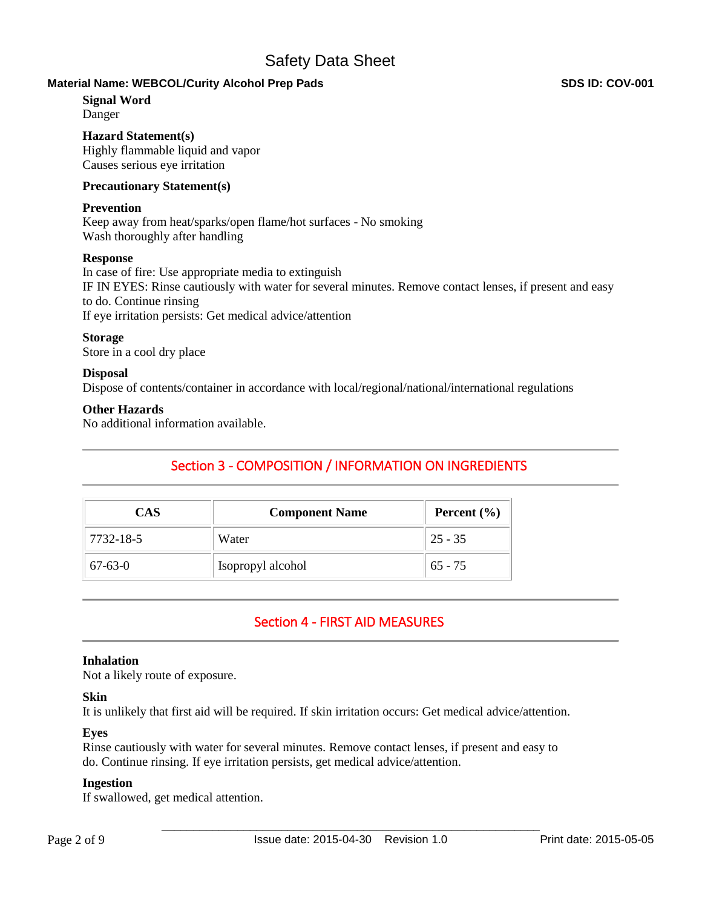# **Material Name: WEBCOL/Curity Alcohol Prep Pads SDS ID: COV-001**

## **Signal Word**

Danger

## **Hazard Statement(s)**

Highly flammable liquid and vapor Causes serious eye irritation

## **Precautionary Statement(s)**

## **Prevention**

Keep away from heat/sparks/open flame/hot surfaces - No smoking Wash thoroughly after handling

## **Response**

In case of fire: Use appropriate media to extinguish IF IN EYES: Rinse cautiously with water for several minutes. Remove contact lenses, if present and easy to do. Continue rinsing If eye irritation persists: Get medical advice/attention

## **Storage**

Store in a cool dry place

## **Disposal**

Dispose of contents/container in accordance with local/regional/national/international regulations

## **Other Hazards**

No additional information available.

# Section 3 - COMPOSITION / INFORMATION ON INGREDIENTS

| CAS       | <b>Component Name</b> | Percent $(\% )$ |
|-----------|-----------------------|-----------------|
| 7732-18-5 | Water                 | $25 - 35$       |
| 67-63-0   | Isopropyl alcohol     | $65 - 75$       |

# Section 4 - FIRST AID MEASURES

## **Inhalation**

Not a likely route of exposure.

## **Skin**

It is unlikely that first aid will be required. If skin irritation occurs: Get medical advice/attention.

## **Eyes**

Rinse cautiously with water for several minutes. Remove contact lenses, if present and easy to do. Continue rinsing. If eye irritation persists, get medical advice/attention.

### **Ingestion**

If swallowed, get medical attention.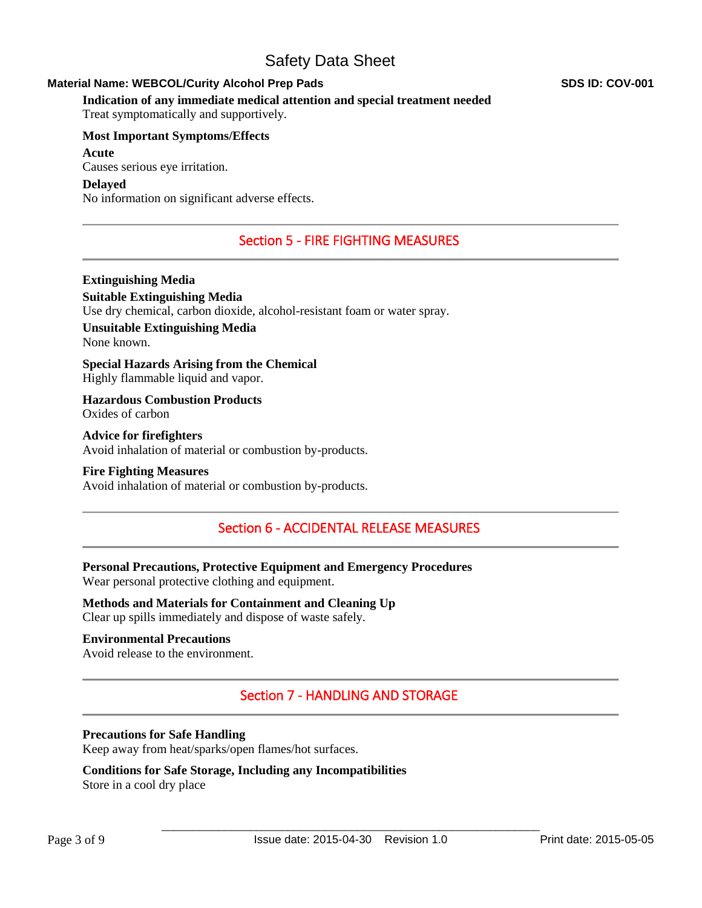# **Material Name: WEBCOL/Curity Alcohol Prep Pads SDS ID: COV-001**

**Indication of any immediate medical attention and special treatment needed**

Treat symptomatically and supportively.

# **Most Important Symptoms/Effects**

# **Acute**

Causes serious eye irritation.

# **Delayed**

No information on significant adverse effects.

# Section 5 - FIRE FIGHTING MEASURES

**Extinguishing Media Suitable Extinguishing Media** Use dry chemical, carbon dioxide, alcohol-resistant foam or water spray.

**Unsuitable Extinguishing Media** None known.

**Special Hazards Arising from the Chemical** Highly flammable liquid and vapor.

**Hazardous Combustion Products** Oxides of carbon

**Advice for firefighters** Avoid inhalation of material or combustion by-products.

## **Fire Fighting Measures**

Avoid inhalation of material or combustion by-products.

# Section 6 - ACCIDENTAL RELEASE MEASURES

**Personal Precautions, Protective Equipment and Emergency Procedures** Wear personal protective clothing and equipment.

**Methods and Materials for Containment and Cleaning Up** Clear up spills immediately and dispose of waste safely.

## **Environmental Precautions**

Avoid release to the environment.

# Section 7 - HANDLING AND STORAGE

# **Precautions for Safe Handling**

Keep away from heat/sparks/open flames/hot surfaces.

# **Conditions for Safe Storage, Including any Incompatibilities**

Store in a cool dry place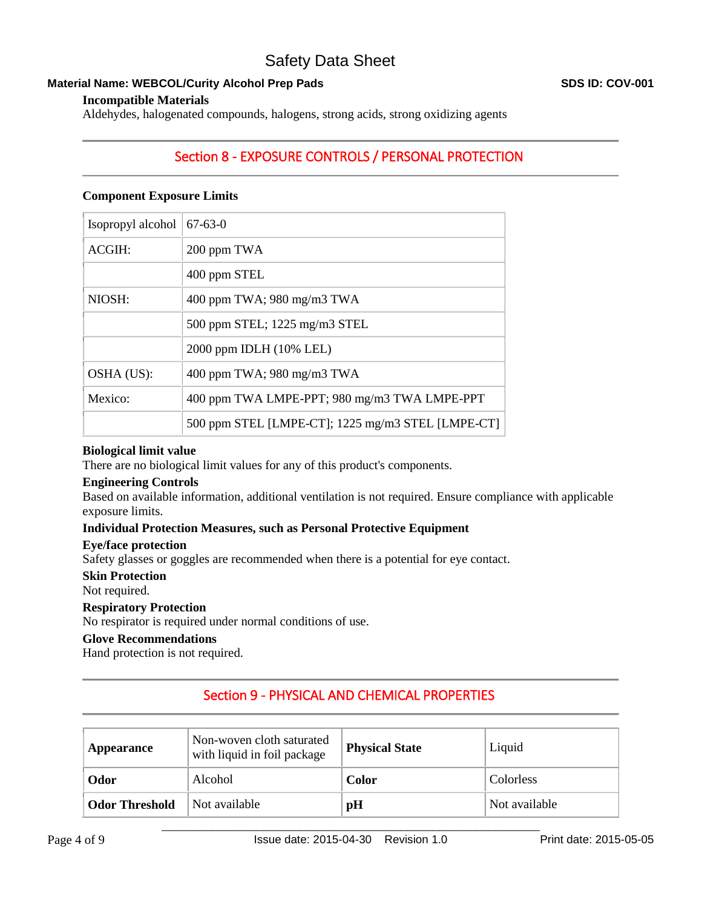# **Material Name: WEBCOL/Curity Alcohol Prep Pads SDS ID: COV-001 SDS ID: COV-001**

Aldehydes, halogenated compounds, halogens, strong acids, strong oxidizing agents

# Section 8 - EXPOSURE CONTROLS / PERSONAL PROTECTION

# **Component Exposure Limits**

| Isopropyl alcohol | $67 - 63 - 0$                                     |
|-------------------|---------------------------------------------------|
| ACGIH:            | 200 ppm TWA                                       |
|                   | 400 ppm STEL                                      |
| NIOSH:            | 400 ppm TWA; 980 mg/m3 TWA                        |
|                   | 500 ppm STEL; 1225 mg/m3 STEL                     |
|                   | 2000 ppm IDLH (10% LEL)                           |
| OSHA (US):        | 400 ppm TWA; 980 mg/m3 TWA                        |
| Mexico:           | 400 ppm TWA LMPE-PPT; 980 mg/m3 TWA LMPE-PPT      |
|                   | 500 ppm STEL [LMPE-CT]; 1225 mg/m3 STEL [LMPE-CT] |

## **Biological limit value**

There are no biological limit values for any of this product's components.

## **Engineering Controls**

Based on available information, additional ventilation is not required. Ensure compliance with applicable exposure limits.

## **Individual Protection Measures, such as Personal Protective Equipment**

### **Eye/face protection**

Safety glasses or goggles are recommended when there is a potential for eye contact.

### **Skin Protection**

Not required.

# **Respiratory Protection**

No respirator is required under normal conditions of use.

# **Glove Recommendations**

Hand protection is not required.

# Section 9 - PHYSICAL AND CHEMICAL PROPERTIES

| Appearance            | Non-woven cloth saturated<br>with liquid in foil package | <b>Physical State</b> | Liquid        |
|-----------------------|----------------------------------------------------------|-----------------------|---------------|
| Odor                  | Alcohol                                                  | <b>Color</b>          | Colorless     |
| <b>Odor Threshold</b> | Not available                                            | pH                    | Not available |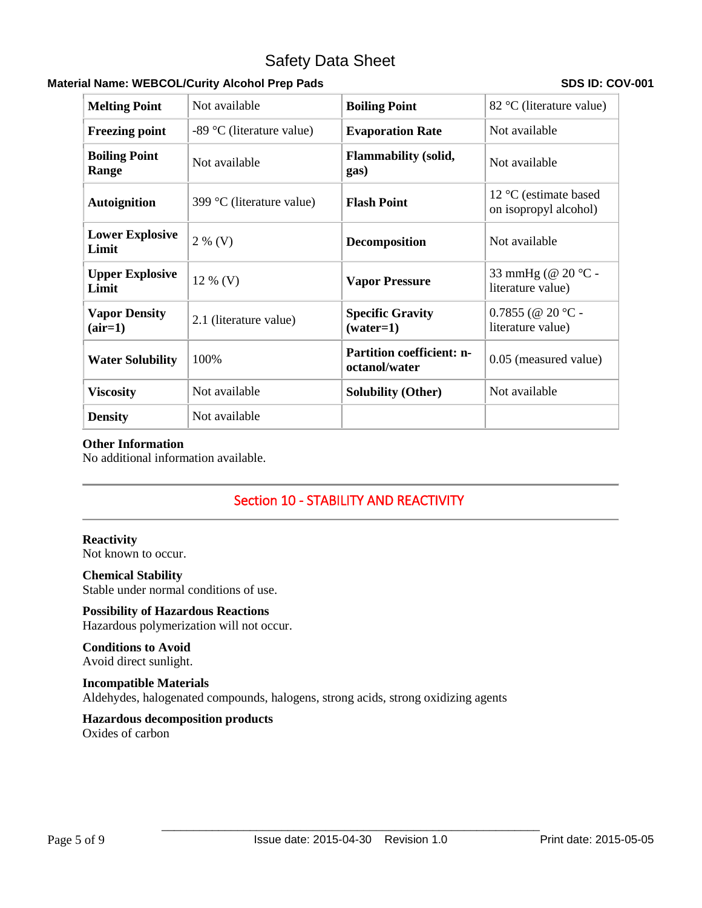# **Material Name: WEBCOL/Curity Alcohol Prep Pads SDS ID: COV-001 SDS ID: COV-001**

| <b>Melting Point</b>              | Not available             | <b>Boiling Point</b>                              | 82 °C (literature value)                                         |
|-----------------------------------|---------------------------|---------------------------------------------------|------------------------------------------------------------------|
| <b>Freezing point</b>             | -89 °C (literature value) | <b>Evaporation Rate</b>                           | Not available                                                    |
| <b>Boiling Point</b><br>Range     | Not available             | <b>Flammability (solid,</b><br>gas)               | Not available                                                    |
| <b>Autoignition</b>               | 399 °C (literature value) | <b>Flash Point</b>                                | 12 $\mathrm{^{\circ}C}$ (estimate based<br>on isopropyl alcohol) |
| <b>Lower Explosive</b><br>Limit   | $2\%$ (V)                 | <b>Decomposition</b>                              | Not available                                                    |
| <b>Upper Explosive</b><br>Limit   | $12\%$ (V)                | <b>Vapor Pressure</b>                             | 33 mmHg (@ 20 °C -<br>literature value)                          |
| <b>Vapor Density</b><br>$(air=1)$ | 2.1 (literature value)    | <b>Specific Gravity</b><br>$(water=1)$            | $0.7855$ (@ 20 °C -<br>literature value)                         |
| <b>Water Solubility</b>           | 100%                      | <b>Partition coefficient: n-</b><br>octanol/water | 0.05 (measured value)                                            |
| <b>Viscosity</b>                  | Not available             | <b>Solubility (Other)</b>                         | Not available                                                    |
| <b>Density</b>                    | Not available             |                                                   |                                                                  |

# **Other Information**

No additional information available.

# Section 10 - STABILITY AND REACTIVITY

# **Reactivity**

Not known to occur.

# **Chemical Stability**

Stable under normal conditions of use.

# **Possibility of Hazardous Reactions**

Hazardous polymerization will not occur.

# **Conditions to Avoid**

Avoid direct sunlight.

# **Incompatible Materials**

Aldehydes, halogenated compounds, halogens, strong acids, strong oxidizing agents

# **Hazardous decomposition products**

Oxides of carbon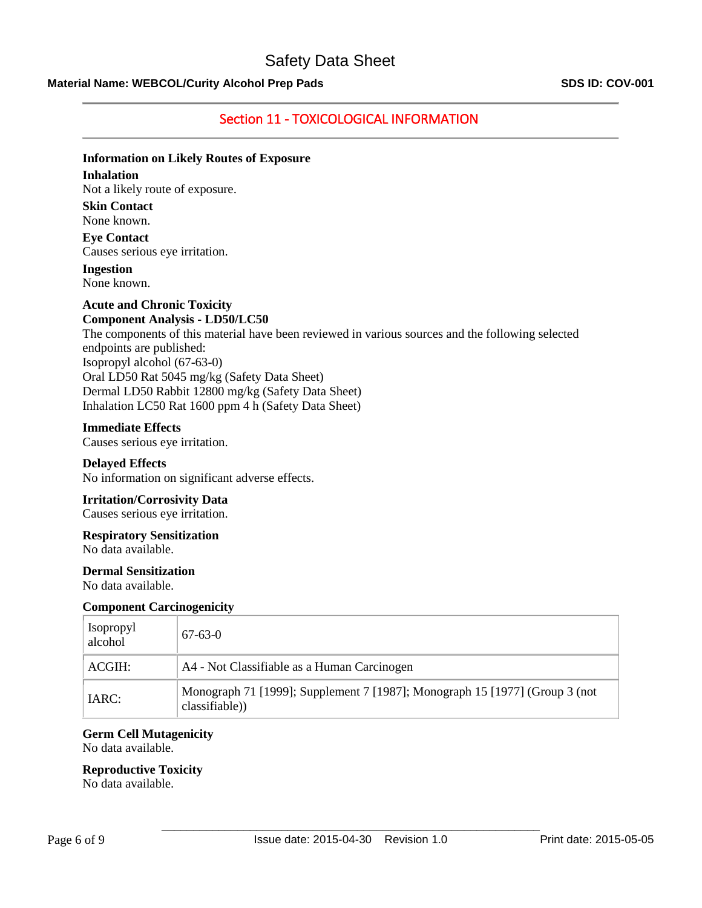# **Material Name: WEBCOL/Curity Alcohol Prep Pads SDS ID: COV-001**

# Section 11 - TOXICOLOGICAL INFORMATION

# **Information on Likely Routes of Exposure**

# **Inhalation**

Not a likely route of exposure.

**Skin Contact** None known.

**Eye Contact** Causes serious eye irritation.

**Ingestion** None known.

### **Acute and Chronic Toxicity Component Analysis - LD50/LC50**

The components of this material have been reviewed in various sources and the following selected endpoints are published: Isopropyl alcohol (67-63-0) Oral LD50 Rat 5045 mg/kg (Safety Data Sheet) Dermal LD50 Rabbit 12800 mg/kg (Safety Data Sheet) Inhalation LC50 Rat 1600 ppm 4 h (Safety Data Sheet)

## **Immediate Effects**

Causes serious eye irritation.

**Delayed Effects** No information on significant adverse effects.

# **Irritation/Corrosivity Data**

Causes serious eye irritation.

## **Respiratory Sensitization**

No data available.

### **Dermal Sensitization**

No data available.

### **Component Carcinogenicity**

| <b>Isopropyl</b><br>alcohol | $67 - 63 - 0$                                                                                |
|-----------------------------|----------------------------------------------------------------------------------------------|
| ACGIH:                      | A4 - Not Classifiable as a Human Carcinogen                                                  |
| IARC:                       | Monograph 71 [1999]; Supplement 7 [1987]; Monograph 15 [1977] (Group 3 (not<br>classifiable) |

### **Germ Cell Mutagenicity**

No data available.

### **Reproductive Toxicity**

No data available.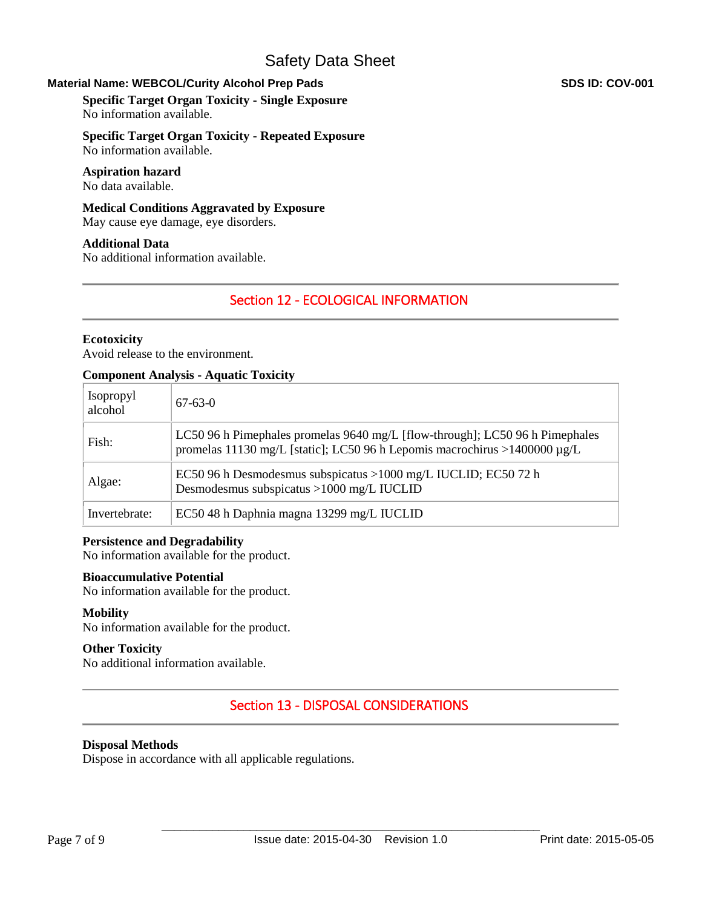# **Material Name: WEBCOL/Curity Alcohol Prep Pads SDS ID: COV-001 SDS ID: COV-001**

**Specific Target Organ Toxicity - Single Exposure** No information available.

**Specific Target Organ Toxicity - Repeated Exposure** No information available.

#### **Aspiration hazard** No data available.

**Medical Conditions Aggravated by Exposure** May cause eye damage, eye disorders.

**Additional Data** No additional information available.

# Section 12 - ECOLOGICAL INFORMATION

# **Ecotoxicity**

Avoid release to the environment.

## **Component Analysis - Aquatic Toxicity**

| <b>Isopropyl</b><br>alcohol | $67-63-0$                                                                                                                                                 |
|-----------------------------|-----------------------------------------------------------------------------------------------------------------------------------------------------------|
| Fish:                       | LC50 96 h Pimephales promelas 9640 mg/L [flow-through]; LC50 96 h Pimephales<br>promelas 11130 mg/L [static]; LC50 96 h Lepomis macrochirus >1400000 µg/L |
| Algae:                      | EC50 96 h Desmodesmus subspicatus >1000 mg/L IUCLID; EC50 72 h<br>Desmodesmus subspicatus >1000 mg/L IUCLID                                               |
| Invertebrate:               | EC50 48 h Daphnia magna 13299 mg/L IUCLID                                                                                                                 |

### **Persistence and Degradability**

No information available for the product.

### **Bioaccumulative Potential**

No information available for the product.

### **Mobility**

No information available for the product.

### **Other Toxicity**

No additional information available.

# Section 13 - DISPOSAL CONSIDERATIONS

## **Disposal Methods**

Dispose in accordance with all applicable regulations.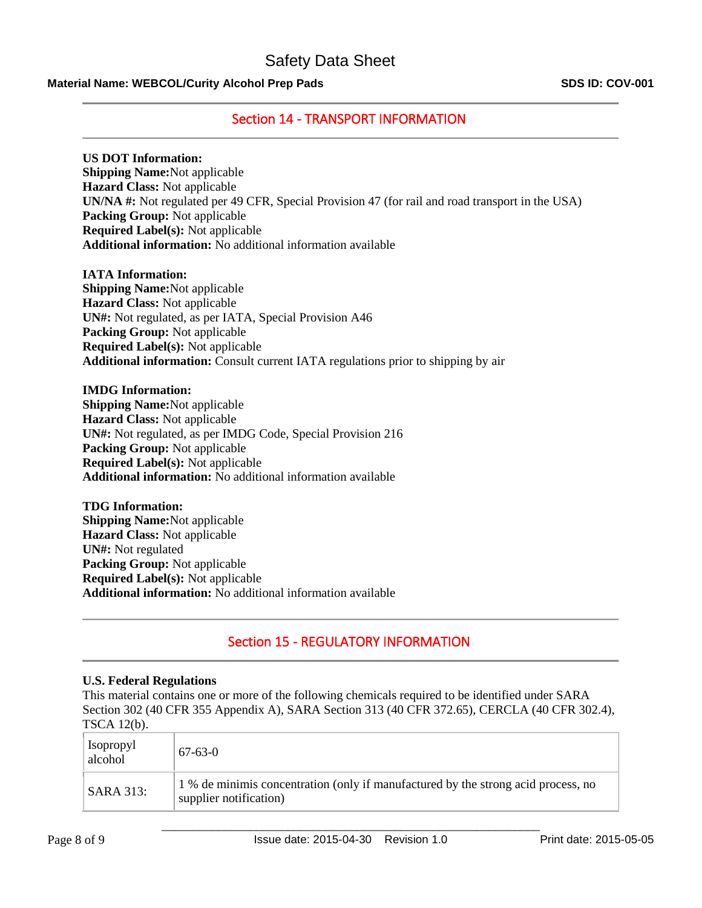## **Material Name: WEBCOL/Curity Alcohol Prep Pads SDS ID: COV-001**

# Section 14 - TRANSPORT INFORMATION

### **US DOT Information:**

**Shipping Name:**Not applicable **Hazard Class:** Not applicable **UN/NA #:** Not regulated per 49 CFR, Special Provision 47 (for rail and road transport in the USA) **Packing Group:** Not applicable **Required Label(s):** Not applicable **Additional information:** No additional information available

**IATA Information: Shipping Name:**Not applicable **Hazard Class:** Not applicable **UN#:** Not regulated, as per IATA, Special Provision A46 **Packing Group:** Not applicable **Required Label(s):** Not applicable **Additional information:** Consult current IATA regulations prior to shipping by air

**IMDG Information: Shipping Name:**Not applicable **Hazard Class:** Not applicable **UN#:** Not regulated, as per IMDG Code, Special Provision 216 **Packing Group:** Not applicable **Required Label(s):** Not applicable **Additional information:** No additional information available

**TDG Information: Shipping Name:**Not applicable **Hazard Class:** Not applicable **UN#:** Not regulated **Packing Group:** Not applicable **Required Label(s):** Not applicable **Additional information:** No additional information available

# Section 15 - REGULATORY INFORMATION

### **U.S. Federal Regulations**

This material contains one or more of the following chemicals required to be identified under SARA Section 302 (40 CFR 355 Appendix A), SARA Section 313 (40 CFR 372.65), CERCLA (40 CFR 302.4), TSCA 12(b).

| <b>Isopropyl</b><br>alcohol | $67-63-0$                                                                                                   |
|-----------------------------|-------------------------------------------------------------------------------------------------------------|
| <b>SARA 313:</b>            | 1 % de minimis concentration (only if manufactured by the strong acid process, no<br>supplier notification) |